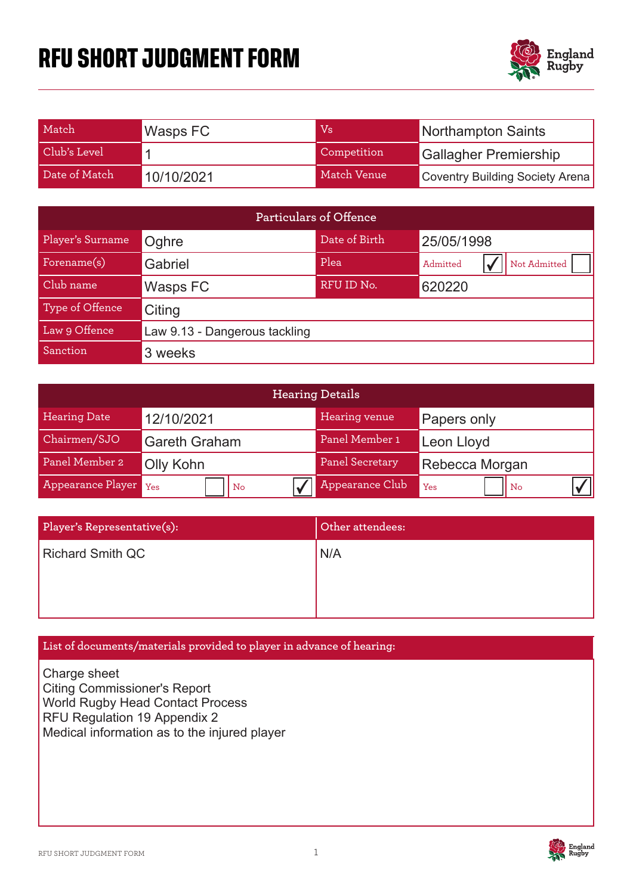# **RFU SHORT JUDGMENT FORM**



| Match         | Wasps FC   | Vs          | Northampton Saints              |
|---------------|------------|-------------|---------------------------------|
| Club's Level  |            | Competition | <b>Gallagher Premiership</b>    |
| Date of Match | 10/10/2021 | Match Venue | Coventry Building Society Arena |

| <b>Particulars of Offence</b> |                                      |            |                          |  |  |
|-------------------------------|--------------------------------------|------------|--------------------------|--|--|
| Player's Surname              | Date of Birth<br>25/05/1998<br>Oghre |            |                          |  |  |
| Forename(s)                   | Gabriel                              | Plea       | Not Admitted<br>Admitted |  |  |
| Club name                     | Wasps FC                             | RFU ID No. | 620220                   |  |  |
| Type of Offence               | Citing                               |            |                          |  |  |
| Law 9 Offence                 | Law 9.13 - Dangerous tackling        |            |                          |  |  |
| Sanction                      | 3 weeks                              |            |                          |  |  |

| <b>Hearing Details</b> |                      |                 |                    |  |
|------------------------|----------------------|-----------------|--------------------|--|
| <b>Hearing Date</b>    | 12/10/2021           | Hearing venue   | <b>Papers only</b> |  |
| Chairmen/SJO           | <b>Gareth Graham</b> | Panel Member 1  | Leon Lloyd         |  |
| Panel Member 2         | Olly Kohn            | Panel Secretary | Rebecca Morgan     |  |
| Appearance Player Yes  | No                   | Appearance Club | Yes<br>l No        |  |

| Player's Representative(s): | Other attendees: |
|-----------------------------|------------------|
| <b>Richard Smith QC</b>     | N/A              |
|                             |                  |
|                             |                  |

## **List of documents/materials provided to player in advance of hearing:**

Charge sheet **Citing Commissioner's Report** World Rugby Head Contact Process RFU Regulation 19 Appendix 2 Medical information as to the injured player

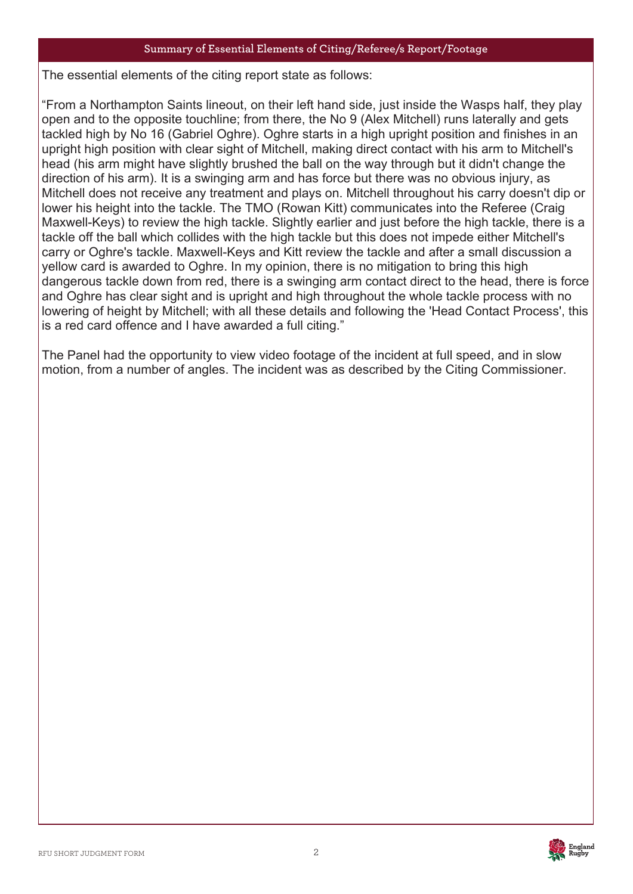### **Summary of Essential Elements of Citing/Referee/s Report/Footage**

The essent The essential elements of the citing report state as follows:

"From a Northampton Saints lineout, on their left hand side, just inside the Wasps half, they play open and to the opposite touchline; from there, the No 9 (Alex Mitchell) runs laterally and gets tackled high by No 16 (Gabriel Oghre). Oghre starts in a high upright position and finishes in an upright high position with clear sight of Mitchell, making direct contact with his arm to Mitchell's head (his arm might have slightly brushed the ball on the way through but it didn't change the direction of his arm). It is a swinging arm and has force but there was no obvious injury, as Mitchell does not receive any treatment and plays on. Mitchell throughout his carry doesn't dip or lower his height into the tackle. The TMO (Rowan Kitt) communicates into the Referee (Craig Maxwell-Keys) to review the high tackle. Slightly earlier and just before the high tackle, there is a tackle off the ball which collides with the high tackle but this does not impede either Mitchell's carry or Oghre's tackle. Maxwell-Keys and Kitt review the tackle and after a small discussion a yellow card is awarded to Oghre. In my opinion, there is no mitigation to bring this high dangerous tackle down from red, there is a swinging arm contact direct to the head, there is force and Oghre has clear sight and is upright and high throughout the whole tackle process with no lowering of height by Mitchell; with all these details and following the 'Head Contact Process', this is a red card offence and I have awarded a full citing."

The Panel had the opportunity to view video footage of the incident at full speed, and in slow motion, from a number of angles. The incident was as described by the Citing Commissioner.

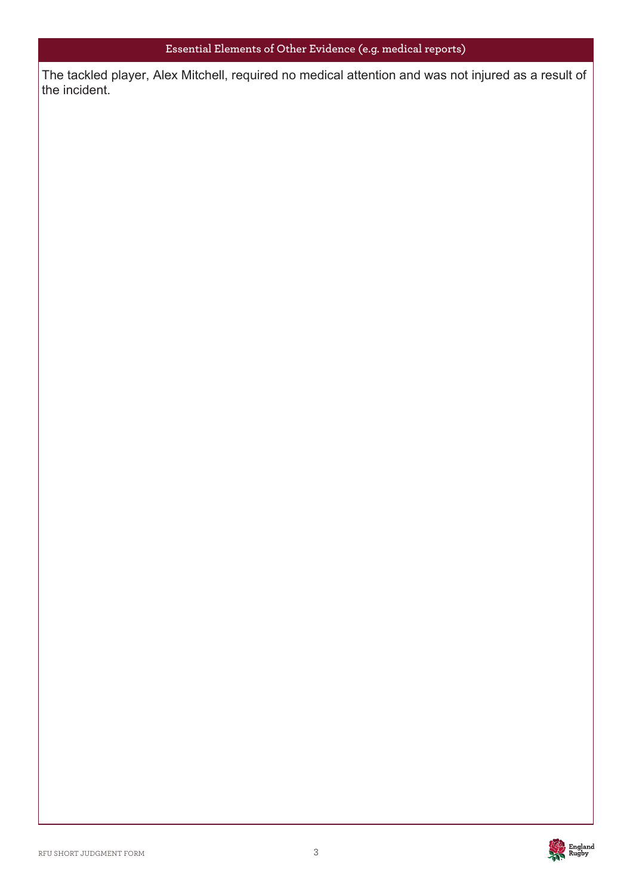The tackled player, Alex Mitchell, required no medical attention and was not injured as a result of the incident.

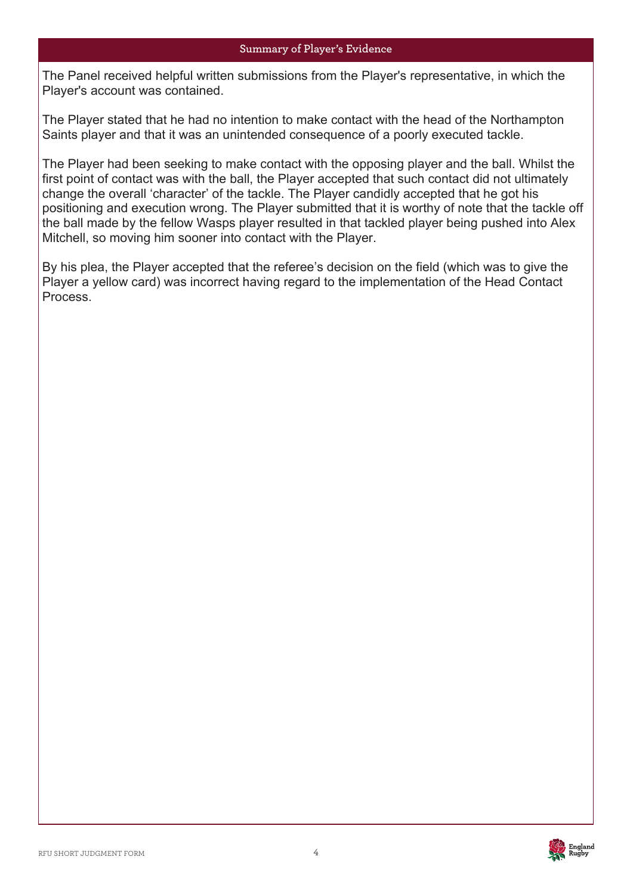#### **Summary of Player's Evidence**

The Panel received helpful written submissions from the Player's representative, in which the Plea Player's account was contained.

The Player stated that he had no intention to make contact with the head of the Northampton Saints player and that it was an unintended consequence of a poorly executed tackle.

The Player had been seeking to make contact with the opposing player and the ball. Whilst the first point of contact was with the ball, the Player accepted that such contact did not ultimately change the overall 'character' of the tackle. The Player candidly accepted that he got his positioning and execution wrong. The Player submitted that it is worthy of note that the tackle off the ball made by the fellow Wasps player resulted in that tackled player being pushed into Alex Mitchell, so moving him sooner into contact with the Player.

By his plea, the Player accepted that the referee's decision on the field (which was to give the Player a yellow card) was incorrect having regard to the implementation of the Head Contact Process.

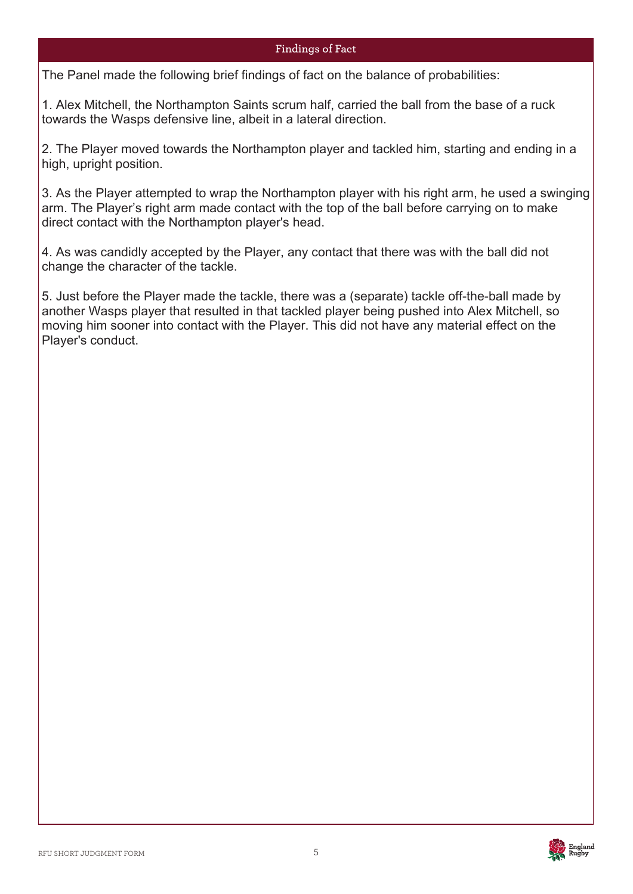## **Findings of Fact**

The Panel The Panel made the following brief findings of fact on the balance of probabilities:

1. Alex Mitchell, the Northampton Saints scrum half, carried the ball from the base of a ruck towards the Wasps defensive line, albeit in a lateral direction.

2. The Player moved towards the Northampton player and tackled him, starting and ending in a high, upright position.

3. As the Player attempted to wrap the Northampton player with his right arm, he used a swinging arm. The Player's right arm made contact with the top of the ball before carrying on to make direct contact with the Northampton player's head.

4. As was candidly accepted by the Player, any contact that there was with the ball did not change the character of the tackle.

5. Just before the Player made the tackle, there was a (separate) tackle off-the-ball made by another Wasps player that resulted in that tackled player being pushed into Alex Mitchell, so moving him sooner into contact with the Player. This did not have any material effect on the Player's conduct.

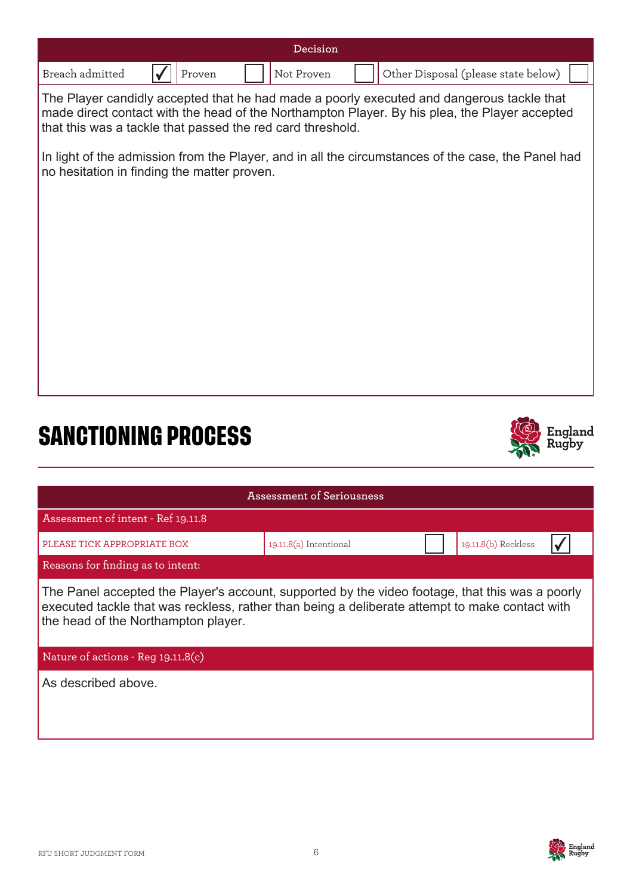|                 |        | Decision   |                                     |
|-----------------|--------|------------|-------------------------------------|
| Breach admitted | Proven | Not Proven | Other Disposal (please state below) |

The Player candidly accepted that he had made a poorly executed and dangerous tackle that made direct contact with the head of the Northampton Player. By his plea, the Player accepted that this was a tackle that passed the red card threshold.

In light of the admission from the Player, and in all the circumstances of the case, the Panel had no hesitation in finding the matter proven.

# **SANCTIONING PROCESS**



| Assessment of Seriousness                                                                                                                                                                                                                |                          |  |                     |  |  |
|------------------------------------------------------------------------------------------------------------------------------------------------------------------------------------------------------------------------------------------|--------------------------|--|---------------------|--|--|
| Assessment of intent - Ref 19.11.8                                                                                                                                                                                                       |                          |  |                     |  |  |
| PLEASE TICK APPROPRIATE BOX                                                                                                                                                                                                              | $19.11.8(a)$ Intentional |  | 19.11.8(b) Reckless |  |  |
| Reasons for finding as to intent:                                                                                                                                                                                                        |                          |  |                     |  |  |
| The Panel accepted the Player's account, supported by the video footage, that this was a poorly<br>executed tackle that was reckless, rather than being a deliberate attempt to make contact with<br>the head of the Northampton player. |                          |  |                     |  |  |
| Nature of actions - Reg $19.11.8(c)$                                                                                                                                                                                                     |                          |  |                     |  |  |
| As described above.                                                                                                                                                                                                                      |                          |  |                     |  |  |

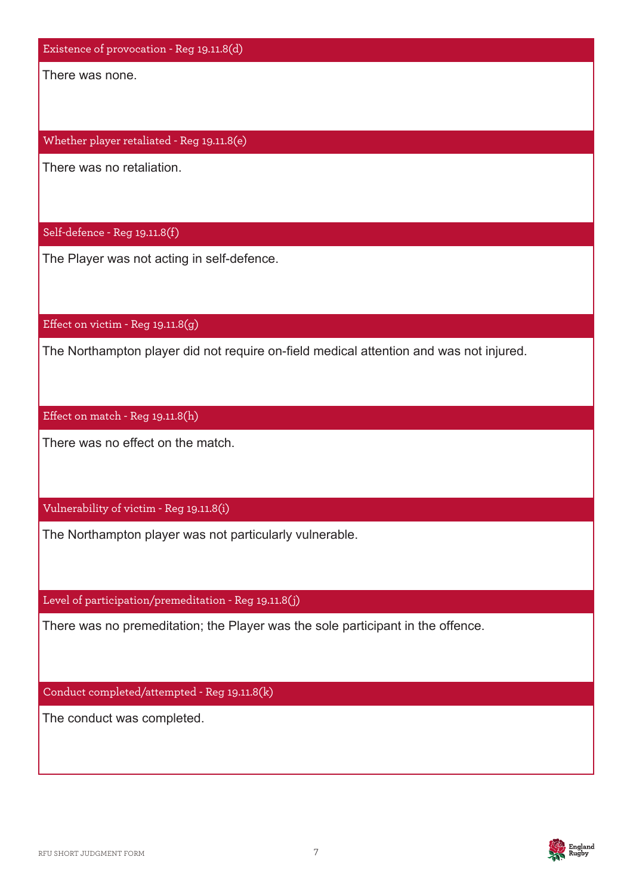Existence of provocation - Reg 19.11.8(d)

There was none.

Whether player retaliated - Reg 19.11.8(e)

There was no retaliation.

Self-defence - Reg 19.11.8(f)

The Player was not acting in self-defence.

Effect on victim - Reg 19.11.8(g)

The Northampton player did not require on-field medical attention and was not injured.

Effect on match - Reg 19.11.8(h)

There was no effect on the match.

Vulnerability of victim - Reg 19.11.8(i)

The Northampton player was not particularly vulnerable.

Level of participation/premeditation - Reg 19.11.8(j)

There was no premeditation; the Player was the sole participant in the offence.

Conduct completed/attempted - Reg 19.11.8(k)

The conduct was completed.

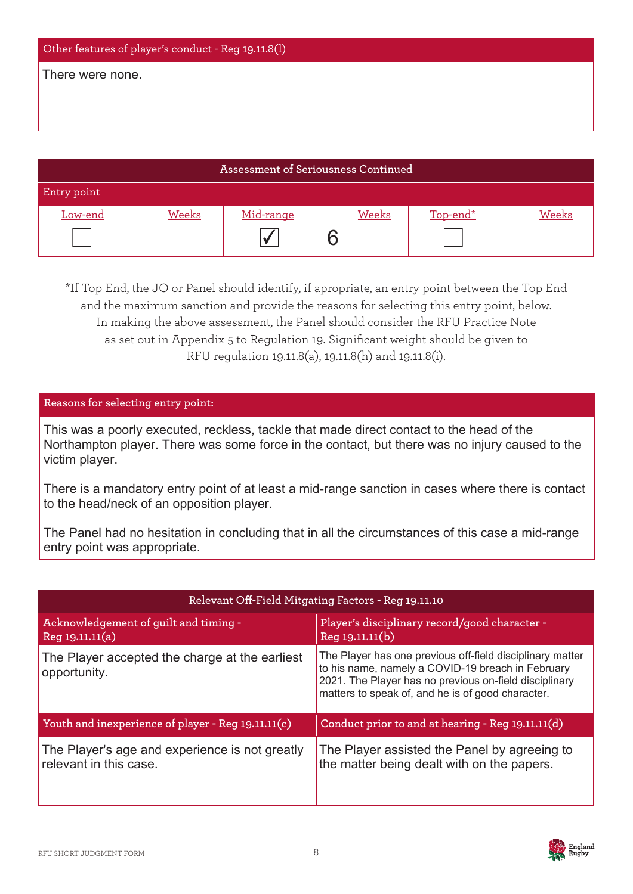| Other features of player's conduct - Reg 19.11.8(l) |  |  |  |  |
|-----------------------------------------------------|--|--|--|--|
| There were none.                                    |  |  |  |  |
|                                                     |  |  |  |  |
|                                                     |  |  |  |  |
|                                                     |  |  |  |  |

| <b>Assessment of Seriousness Continued</b> |       |           |       |                 |       |
|--------------------------------------------|-------|-----------|-------|-----------------|-------|
| Entry point                                |       |           |       |                 |       |
| Low-end                                    | Weeks | Mid-range | Weeks | <u>Top-end*</u> | Weeks |
|                                            |       |           |       |                 |       |

\*If Top End, the JO or Panel should identify, if apropriate, an entry point between the Top End and the maximum sanction and provide the reasons for selecting this entry point, below. In making the above assessment, the Panel should consider the RFU Practice Note as set out in Appendix 5 to Regulation 19. Significant weight should be given to RFU regulation 19.11.8(a), 19.11.8(h) and 19.11.8(i).

## **Reasons for selecting entry point:**

This was a poorly executed, reckless, tackle that made direct contact to the head of the Place the approach of the control of the contact was no injury caused to the Northampton player. There was some force in the contact, but there was no injury caused to the victim player.

There is a mandatory entry point of at least a mid-range sanction in cases where there is contact to the head/neck of an opposition player.

The Panel had no hesitation in concluding that in all the circumstances of this case a mid-range entry point was appropriate.

| Relevant Off-Field Mitgating Factors - Reg 19.11.10                      |                                                                                                                                                                                                                               |  |  |
|--------------------------------------------------------------------------|-------------------------------------------------------------------------------------------------------------------------------------------------------------------------------------------------------------------------------|--|--|
| Acknowledgement of guilt and timing -<br>Reg 19.11.11(a)                 | Player's disciplinary record/good character -<br>Reg 19.11.11(b)                                                                                                                                                              |  |  |
| The Player accepted the charge at the earliest<br>opportunity.           | The Player has one previous off-field disciplinary matter<br>to his name, namely a COVID-19 breach in February<br>2021. The Player has no previous on-field disciplinary<br>matters to speak of, and he is of good character. |  |  |
| Youth and inexperience of player - Reg 19.11.11(c)                       | Conduct prior to and at hearing - Reg 19.11.11(d)                                                                                                                                                                             |  |  |
| The Player's age and experience is not greatly<br>relevant in this case. | The Player assisted the Panel by agreeing to<br>the matter being dealt with on the papers.                                                                                                                                    |  |  |

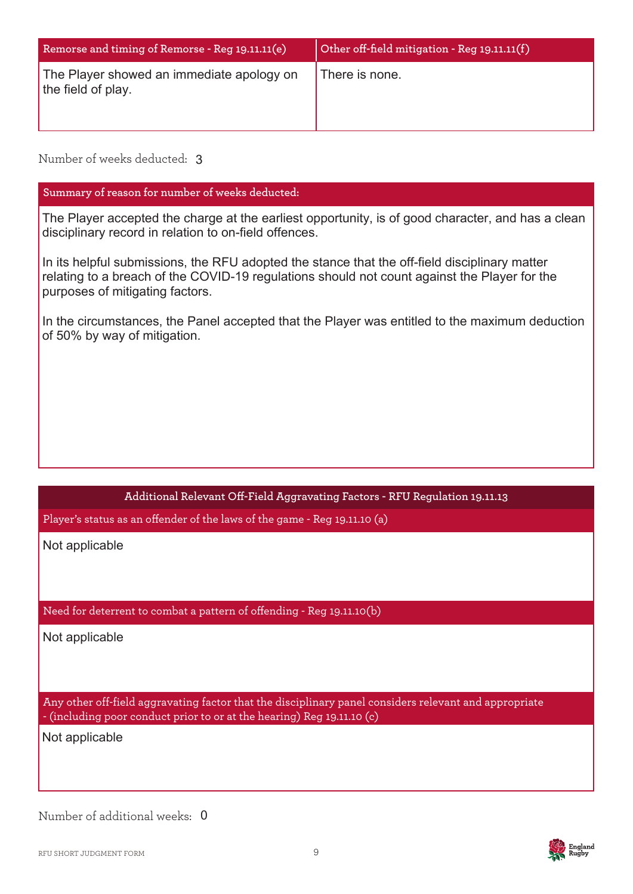| Remorse and timing of Remorse - Reg 19.11.11(e)                 | Other off-field mitigation - Reg 19.11.11(f) |  |
|-----------------------------------------------------------------|----------------------------------------------|--|
| The Player showed an immediate apology on<br>the field of play. | There is none.                               |  |

## Number of weeks deducted: 3

## **Summary of reason for number of weeks deducted:**

The Player accepted the charge at the earliest opportunity, is of good character, and has a clean disciplinary record in relation to on-field offences.

In its helpful submissions, the RFU adopted the stance that the off-field disciplinary matter relating to a breach of the COVID-19 regulations should not count against the Player for the purposes of mitigating factors.

In the circumstances, the Panel accepted that the Player was entitled to the maximum deduction of 50% by way of mitigation.

## **Additional Relevant Off-Field Aggravating Factors - RFU Regulation 19.11.13**

Player's status as an offender of the laws of the game - Reg 19.11.10 (a)

Not applicable

### Need for deterrent to combat a pattern of offending - Reg 19.11.10(b)

Not applicable

Any other off-field aggravating factor that the disciplinary panel considers relevant and appropriate - (including poor conduct prior to or at the hearing) Reg 19.11.10 (c)

Not applicable

Number of additional weeks: 0